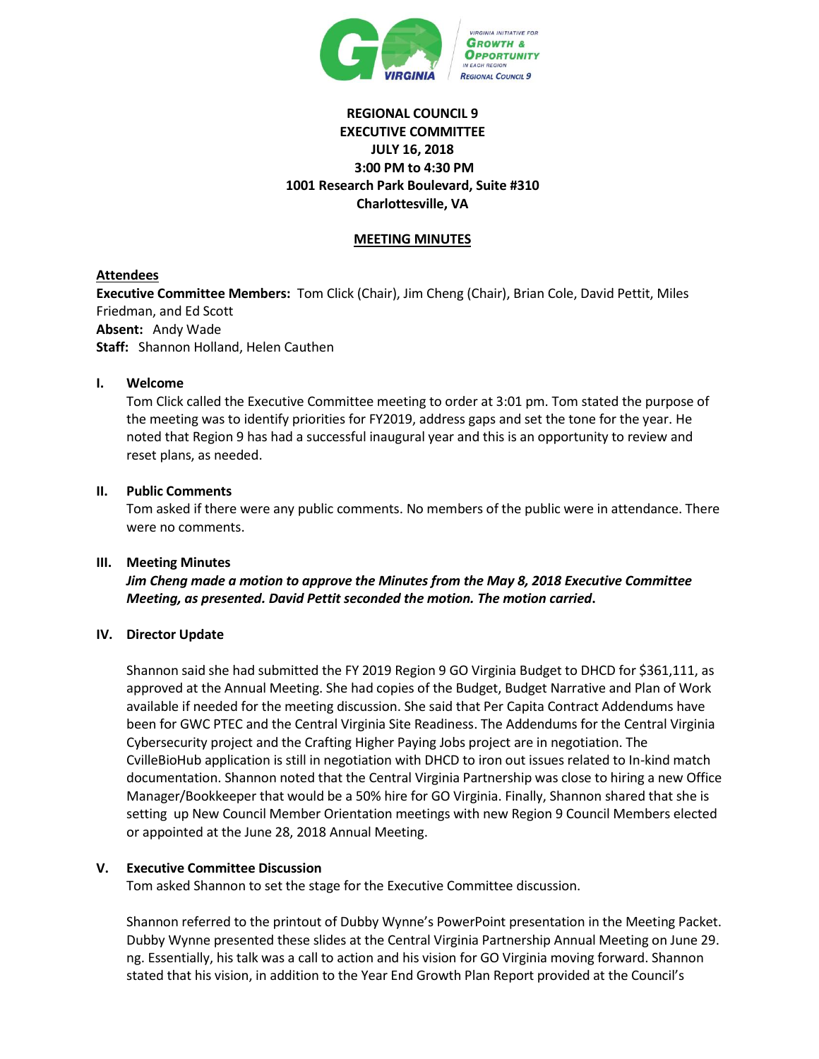

# **REGIONAL COUNCIL 9 EXECUTIVE COMMITTEE JULY 16, 2018 3:00 PM to 4:30 PM 1001 Research Park Boulevard, Suite #310 Charlottesville, VA**

### **MEETING MINUTES**

# **Attendees**

**Executive Committee Members:** Tom Click (Chair), Jim Cheng (Chair), Brian Cole, David Pettit, Miles Friedman, and Ed Scott **Absent:** Andy Wade **Staff:** Shannon Holland, Helen Cauthen

### **I. Welcome**

Tom Click called the Executive Committee meeting to order at 3:01 pm. Tom stated the purpose of the meeting was to identify priorities for FY2019, address gaps and set the tone for the year. He noted that Region 9 has had a successful inaugural year and this is an opportunity to review and reset plans, as needed.

### **II. Public Comments**

Tom asked if there were any public comments. No members of the public were in attendance. There were no comments.

#### **III. Meeting Minutes**

*Jim Cheng made a motion to approve the Minutes from the May 8, 2018 Executive Committee Meeting, as presented. David Pettit seconded the motion. The motion carried***.**

#### **IV. Director Update**

Shannon said she had submitted the FY 2019 Region 9 GO Virginia Budget to DHCD for \$361,111, as approved at the Annual Meeting. She had copies of the Budget, Budget Narrative and Plan of Work available if needed for the meeting discussion. She said that Per Capita Contract Addendums have been for GWC PTEC and the Central Virginia Site Readiness. The Addendums for the Central Virginia Cybersecurity project and the Crafting Higher Paying Jobs project are in negotiation. The CvilleBioHub application is still in negotiation with DHCD to iron out issues related to In-kind match documentation. Shannon noted that the Central Virginia Partnership was close to hiring a new Office Manager/Bookkeeper that would be a 50% hire for GO Virginia. Finally, Shannon shared that she is setting up New Council Member Orientation meetings with new Region 9 Council Members elected or appointed at the June 28, 2018 Annual Meeting.

# **V. Executive Committee Discussion**

Tom asked Shannon to set the stage for the Executive Committee discussion.

Shannon referred to the printout of Dubby Wynne's PowerPoint presentation in the Meeting Packet. Dubby Wynne presented these slides at the Central Virginia Partnership Annual Meeting on June 29. ng. Essentially, his talk was a call to action and his vision for GO Virginia moving forward. Shannon stated that his vision, in addition to the Year End Growth Plan Report provided at the Council's